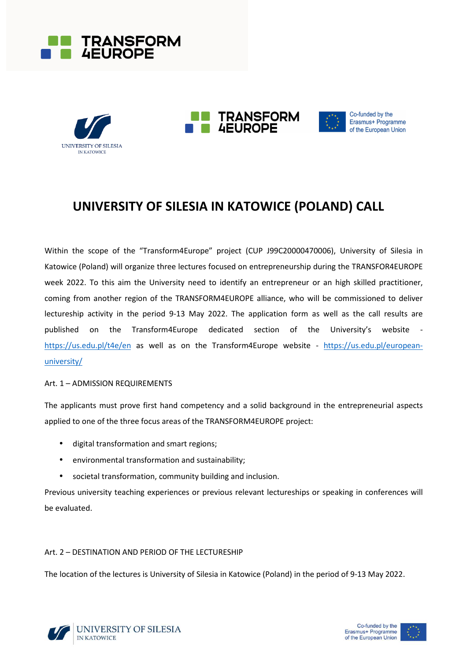







Co-funded by the Erasmus+ Programme of the European Union

# **UNIVERSITY OF SILESIA IN KATOWICE (POLAND) CALL**

Within the scope of the "Transform4Europe" project (CUP J99C20000470006), University of Silesia in Katowice (Poland) will organize three lectures focused on entrepreneurship during the TRANSFOR4EUROPE week 2022. To this aim the University need to identify an entrepreneur or an high skilled practitioner, coming from another region of the TRANSFORM4EUROPE alliance, who will be commissioned to deliver lectureship activity in the period 9-13 May 2022. The application form as well as the call results are published on the Transform4Europe dedicated section of the University's website https://us.edu.pl/t4e/en as well as on the Transform4Europe website - https://us.edu.pl/europeanuniversity/

## Art. 1 – ADMISSION REQUIREMENTS

The applicants must prove first hand competency and a solid background in the entrepreneurial aspects applied to one of the three focus areas of the TRANSFORM4EUROPE project:

- digital transformation and smart regions;
- environmental transformation and sustainability;
- societal transformation, community building and inclusion.

Previous university teaching experiences or previous relevant lectureships or speaking in conferences will be evaluated.

## Art. 2 – DESTINATION AND PERIOD OF THE LECTURESHIP

The location of the lectures is University of Silesia in Katowice (Poland) in the period of 9-13 May 2022.



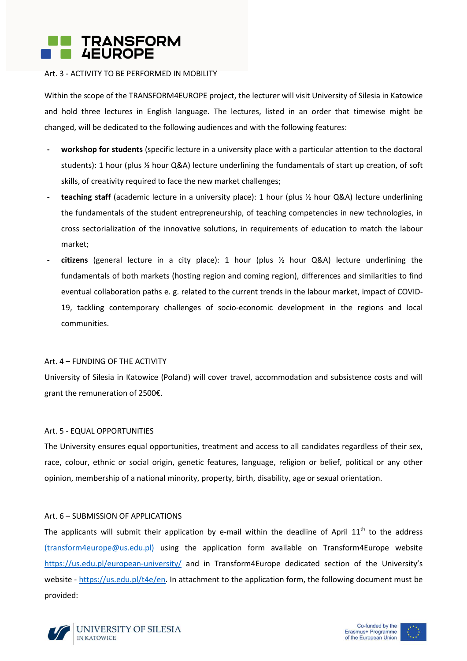

#### Art. 3 - ACTIVITY TO BE PERFORMED IN MOBILITY

Within the scope of the TRANSFORM4EUROPE project, the lecturer will visit University of Silesia in Katowice and hold three lectures in English language. The lectures, listed in an order that timewise might be changed, will be dedicated to the following audiences and with the following features:

- **- workshop for students** (specific lecture in a university place with a particular attention to the doctoral students): 1 hour (plus ½ hour Q&A) lecture underlining the fundamentals of start up creation, of soft skills, of creativity required to face the new market challenges;
- **- teaching staff** (academic lecture in a university place): 1 hour (plus ½ hour Q&A) lecture underlining the fundamentals of the student entrepreneurship, of teaching competencies in new technologies, in cross sectorialization of the innovative solutions, in requirements of education to match the labour market;
- **- citizens** (general lecture in a city place): 1 hour (plus ½ hour Q&A) lecture underlining the fundamentals of both markets (hosting region and coming region), differences and similarities to find eventual collaboration paths e. g. related to the current trends in the labour market, impact of COVID-19, tackling contemporary challenges of socio-economic development in the regions and local communities.

#### Art. 4 – FUNDING OF THE ACTIVITY

University of Silesia in Katowice (Poland) will cover travel, accommodation and subsistence costs and will grant the remuneration of 2500€.

#### Art. 5 - EQUAL OPPORTUNITIES

The University ensures equal opportunities, treatment and access to all candidates regardless of their sex, race, colour, ethnic or social origin, genetic features, language, religion or belief, political or any other opinion, membership of a national minority, property, birth, disability, age or sexual orientation.

#### Art. 6 – SUBMISSION OF APPLICATIONS

The applicants will submit their application by e-mail within the deadline of April  $11<sup>th</sup>$  to the address (transform4europe@us.edu.pl) using the application form available on Transform4Europe website https://us.edu.pl/european-university/ and in Transform4Europe dedicated section of the University's website - https://us.edu.pl/t4e/en. In attachment to the application form, the following document must be provided:





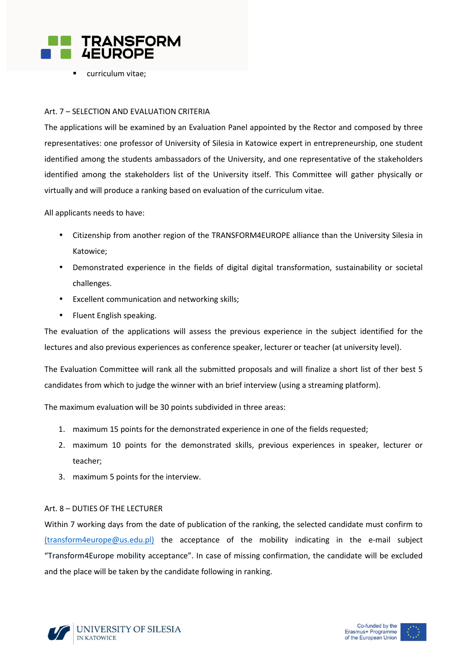

curriculum vitae;

### Art. 7 – SELECTION AND EVALUATION CRITERIA

The applications will be examined by an Evaluation Panel appointed by the Rector and composed by three representatives: one professor of University of Silesia in Katowice expert in entrepreneurship, one student identified among the students ambassadors of the University, and one representative of the stakeholders identified among the stakeholders list of the University itself. This Committee will gather physically or virtually and will produce a ranking based on evaluation of the curriculum vitae.

All applicants needs to have:

- Citizenship from another region of the TRANSFORM4EUROPE alliance than the University Silesia in Katowice;
- Demonstrated experience in the fields of digital digital transformation, sustainability or societal challenges.
- Excellent communication and networking skills;
- Fluent English speaking.

The evaluation of the applications will assess the previous experience in the subject identified for the lectures and also previous experiences as conference speaker, lecturer or teacher (at university level).

The Evaluation Committee will rank all the submitted proposals and will finalize a short list of ther best 5 candidates from which to judge the winner with an brief interview (using a streaming platform).

The maximum evaluation will be 30 points subdivided in three areas:

- 1. maximum 15 points for the demonstrated experience in one of the fields requested;
- 2. maximum 10 points for the demonstrated skills, previous experiences in speaker, lecturer or teacher;
- 3. maximum 5 points for the interview.

#### Art. 8 – DUTIES OF THE LECTURER

Within 7 working days from the date of publication of the ranking, the selected candidate must confirm to (transform4europe@us.edu.pl) the acceptance of the mobility indicating in the e-mail subject "Transform4Europe mobility acceptance". In case of missing confirmation, the candidate will be excluded and the place will be taken by the candidate following in ranking.



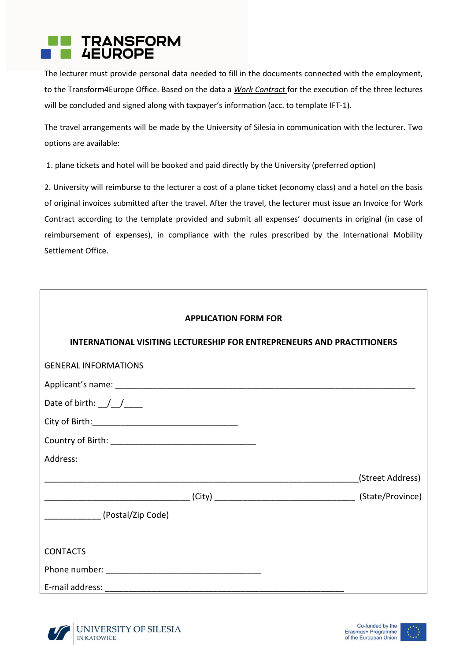

The lecturer must provide personal data needed to fill in the documents connected with the employment, to the Transform4Europe Office. Based on the data a *Work Contract* for the execution of the three lectures will be concluded and signed along with taxpayer's information (acc. to template IFT-1).

The travel arrangements will be made by the University of Silesia in communication with the lecturer. Two options are available:

1. plane tickets and hotel will be booked and paid directly by the University (preferred option)

2. University will reimburse to the lecturer a cost of a plane ticket (economy class) and a hotel on the basis of original invoices submitted after the travel. After the travel, the lecturer must issue an Invoice for Work Contract according to the template provided and submit all expenses' documents in original (in case of reimbursement of expenses), in compliance with the rules prescribed by the International Mobility Settlement Office.

| <b>APPLICATION FORM FOR</b>                                                   |                  |  |
|-------------------------------------------------------------------------------|------------------|--|
| <b>INTERNATIONAL VISITING LECTURESHIP FOR ENTREPRENEURS AND PRACTITIONERS</b> |                  |  |
| <b>GENERAL INFORMATIONS</b>                                                   |                  |  |
|                                                                               |                  |  |
| Date of birth: $//$                                                           |                  |  |
|                                                                               |                  |  |
|                                                                               |                  |  |
| Address:                                                                      |                  |  |
|                                                                               | (Street Address) |  |
|                                                                               |                  |  |
| (Postal/Zip Code)                                                             |                  |  |
|                                                                               |                  |  |
| <b>CONTACTS</b>                                                               |                  |  |
|                                                                               |                  |  |
|                                                                               |                  |  |



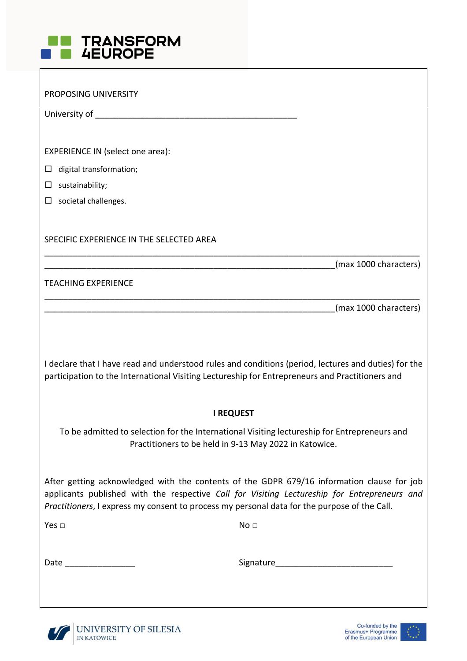

| PROPOSING UNIVERSITY                                                                            |                                                                                                                                                                                            |
|-------------------------------------------------------------------------------------------------|--------------------------------------------------------------------------------------------------------------------------------------------------------------------------------------------|
|                                                                                                 |                                                                                                                                                                                            |
|                                                                                                 |                                                                                                                                                                                            |
| EXPERIENCE IN (select one area):                                                                |                                                                                                                                                                                            |
| digital transformation;<br>ப                                                                    |                                                                                                                                                                                            |
| sustainability;<br>$\Box$                                                                       |                                                                                                                                                                                            |
| $\Box$<br>societal challenges.                                                                  |                                                                                                                                                                                            |
|                                                                                                 |                                                                                                                                                                                            |
| SPECIFIC EXPERIENCE IN THE SELECTED AREA                                                        |                                                                                                                                                                                            |
|                                                                                                 | (max 1000 characters)                                                                                                                                                                      |
| <b>TEACHING EXPERIENCE</b>                                                                      |                                                                                                                                                                                            |
|                                                                                                 |                                                                                                                                                                                            |
|                                                                                                 | (max 1000 characters)                                                                                                                                                                      |
|                                                                                                 |                                                                                                                                                                                            |
| participation to the International Visiting Lectureship for Entrepreneurs and Practitioners and | I declare that I have read and understood rules and conditions (period, lectures and duties) for the                                                                                       |
|                                                                                                 | <b>I REQUEST</b>                                                                                                                                                                           |
|                                                                                                 | To be admitted to selection for the International Visiting lectureship for Entrepreneurs and<br>Practitioners to be held in 9-13 May 2022 in Katowice.                                     |
| Practitioners, I express my consent to process my personal data for the purpose of the Call.    | After getting acknowledged with the contents of the GDPR 679/16 information clause for job<br>applicants published with the respective Call for Visiting Lectureship for Entrepreneurs and |
| Yes $\Box$                                                                                      | No <sub>1</sub>                                                                                                                                                                            |
|                                                                                                 |                                                                                                                                                                                            |
| Date _______________                                                                            |                                                                                                                                                                                            |
|                                                                                                 |                                                                                                                                                                                            |